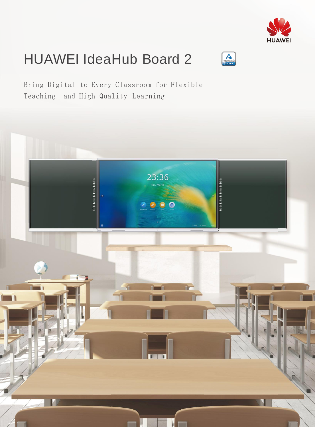

# HUAWEI IdeaHub Board 2



Bring Digital to Every Classroom for Flexible Teaching and High-Quality Learning

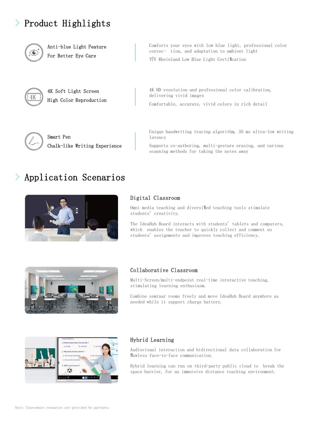# > Product Highlights



Anti-blue Light Feature For Better Eye Care

Comforts your eyes with low blue light, professional color correc- tion, and adaptation to ambient light

TÜV Rheinland Low Blue Light Certification



4K Soft Light Screen High Color Reproduction



Smart Pen Chalk-like Writing Experience 4K HD resolution and professional color calibration, delivering vivid images

Comfortable, accurate, vivid colors in rich detail

Unique handwriting tracing algorithm, 35 ms ultra-low writing latency

Supports co-authoring, multi-gesture erasing, and various scanning methods for taking the notes away

# > Application Scenarios



# Digital Classroom

Omni media teaching and diversified teaching tools stimulate students' creativity.

The IdeaHub Board interacts with students' tablets and computers, which enables the teacher to quickly collect and comment on students' assignments and improves teaching efficiency.



# Collaborative Classroom

Multi-Screen/multi-endpoint real-time interactive teaching, stimulating learning enthusiasm.

Combine seminar rooms freely and move IdeaHub Board anywhere as needed while it support charge battery.



## Hybrid Learning

Audiovisual interaction and bidirectional data collaboration for flawless face-to-face communication.

Hybrid learning can run on third-party public cloud to break the space barrier, for an immersive distance teaching environment.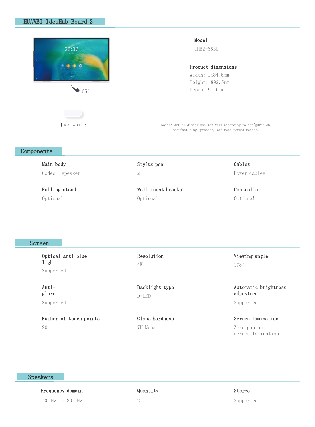

Jade white

#### Model

IHB2-65SU

#### Product dimensions

Width: 1484.5mm Height: 892.5mm Depth: 91.6 mm

Notes: Actual dimensions may vary according to configuration, manufacturing process, and measurement method.

# Components

| Main body      | Stylus pen         | Cables       |
|----------------|--------------------|--------------|
| Codec, speaker |                    | Power cables |
| Rolling stand  | Wall mount bracket | Controller   |
| Optional       | Optional           | Optional     |

#### Screen

Optical anti-blue light Supported

Antiglare Supported

Number of touch points 20

Resolution 4K

Glass hardness

Backlight type

7H Mohs

D-LED

Automatic brightness adjustment

Supported

Viewing angle

178°

Screen lamination Zero gap on screen lamination

# Speakers

Frequency domain 120 Hz to 20 kHz

## Quantity

2

Stereo

Supported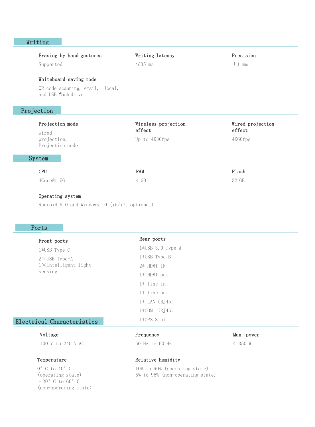# Writing

|            | Erasing by hand gestures                                                         | Writing latency               | Precision                  |
|------------|----------------------------------------------------------------------------------|-------------------------------|----------------------------|
|            | Supported                                                                        | $\leq 35$ ms                  | $\pm 1$ mm                 |
|            | Whiteboard saving mode<br>QR code scanning, email, local,<br>and USB flash drive |                               |                            |
| Projection |                                                                                  |                               |                            |
|            | Projection mode<br>wired                                                         | Wireless projection<br>effect | Wired projection<br>effect |
|            | projection,<br>Projection code                                                   | Up to 4K30fps                 | 4K60fps                    |
|            | System                                                                           |                               |                            |
|            | <b>CPU</b>                                                                       | RAM                           | Flash                      |
|            | 4Core@1.5G                                                                       | 4 GB                          | 32 GB                      |
|            |                                                                                  |                               |                            |

Operating system

Android 9.0 and Windows 10 (i5/i7, optional)

# Ports

| Front ports                                                      | Rear ports        |  |
|------------------------------------------------------------------|-------------------|--|
| 1*USB Type C                                                     | 1*USB 3.0 Type A  |  |
| $2 \times$ USB Type-A<br>$1 \times$ Intelligent light<br>sensing | 1*USB Type B      |  |
|                                                                  | $2*$ HDMI IN      |  |
|                                                                  | 1* HDMI out       |  |
|                                                                  | $1*$ line in      |  |
|                                                                  | $1*$ line out     |  |
|                                                                  | $1*$ LAN $(RJ45)$ |  |
|                                                                  | $1*COM$ $(RJ45)$  |  |
| Electrical Characteristics                                       | $1*0PS$ Slot      |  |

#### Voltage

100 V to 240 V AC

#### Temperature

 $0^\circ$  C to  $40^\circ$  C (operating state) –20°C to 60°C (non-operating state)

#### Frequency

50 Hz to 60 Hz

#### Max. power

< 350 W

#### Relative humidity

10% to 90% (operating state) 5% to 95% (non-operating state)